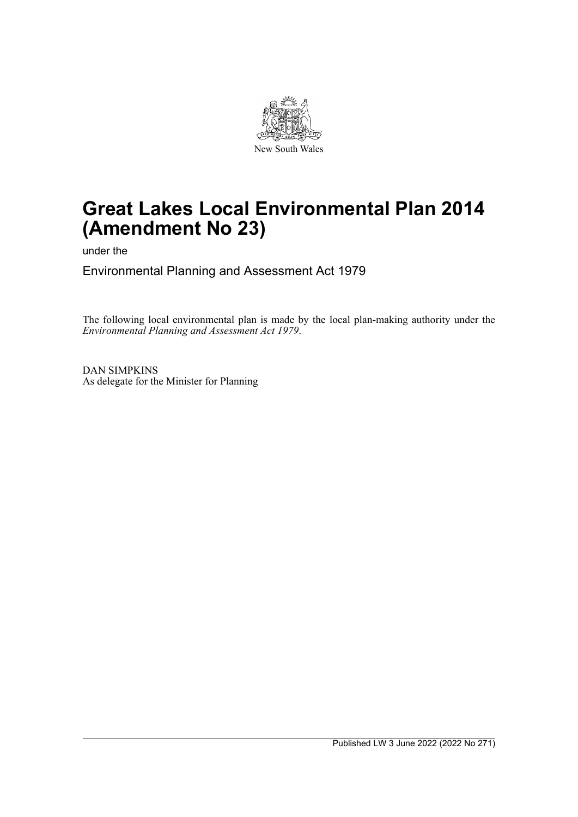

# **Great Lakes Local Environmental Plan 2014 (Amendment No 23)**

under the

Environmental Planning and Assessment Act 1979

The following local environmental plan is made by the local plan-making authority under the *Environmental Planning and Assessment Act 1979*.

DAN SIMPKINS As delegate for the Minister for Planning

Published LW 3 June 2022 (2022 No 271)